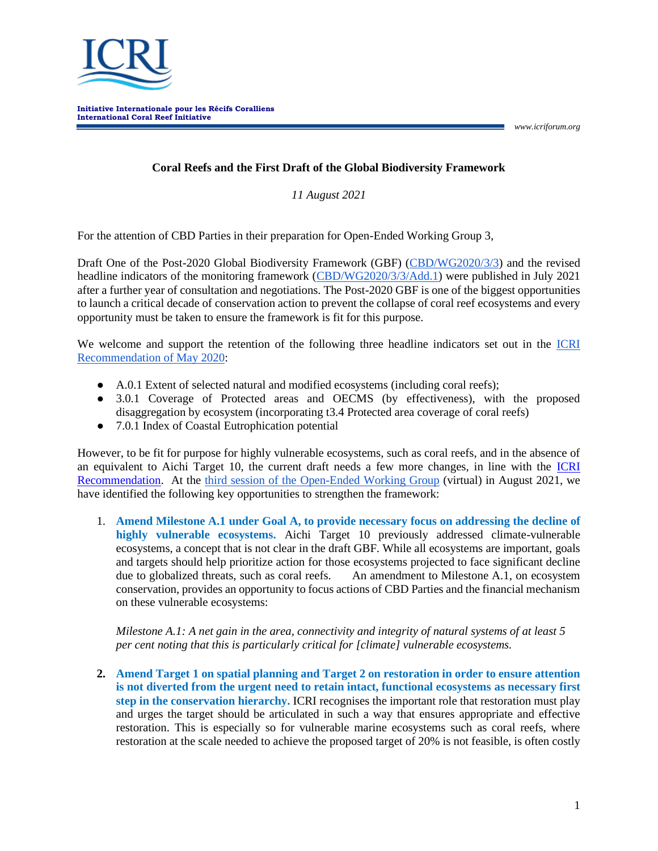

*www.icriforum.org*

## **Coral Reefs and the First Draft of the Global Biodiversity Framework**

*11 August 2021*

For the attention of CBD Parties in their preparation for Open-Ended Working Group 3,

Draft One of the Post-2020 Global Biodiversity Framework (GBF) [\(CBD/WG2020/3/3\)](https://www.cbd.int/doc/c/d605/21e2/2110159110d84290e1afca98/wg2020-03-03-en.pdf) and the revised headline indicators of the monitoring framework [\(CBD/WG2020/3/3/Add.1\)](https://www.cbd.int/doc/c/d716/da69/5e81c8e0faca1db1dd145a59/wg2020-03-03-add1-en.pdf) were published in July 2021 after a further year of consultation and negotiations. The Post-2020 GBF is one of the biggest opportunities to launch a critical decade of conservation action to prevent the collapse of coral reef ecosystems and every opportunity must be taken to ensure the framework is fit for this purpose.

We welcome and support the retention of the following three headline indicators set out in the [ICRI](https://www.icriforum.org/documents/recommendation-on-the-inclusion-of-coral-reefs-and-related-ecosystems-within-the-cbd-post-2020-global-biodiversity-framework/)  [Recommendation of May 2020:](https://www.icriforum.org/documents/recommendation-on-the-inclusion-of-coral-reefs-and-related-ecosystems-within-the-cbd-post-2020-global-biodiversity-framework/)

- A.0.1 Extent of selected natural and modified ecosystems (including coral reefs);
- 3.0.1 Coverage of Protected areas and OECMS (by effectiveness), with the proposed disaggregation by ecosystem (incorporating t3.4 Protected area coverage of coral reefs)
- 7.0.1 Index of Coastal Eutrophication potential

However, to be fit for purpose for highly vulnerable ecosystems, such as coral reefs, and in the absence of an equivalent to Aichi Target 10, the current draft needs a few more changes, in line with the **ICRI** [Recommendation.](https://www.icriforum.org/documents/recommendation-on-the-inclusion-of-coral-reefs-and-related-ecosystems-within-the-cbd-post-2020-global-biodiversity-framework/) At the [third session of the Open-Ended Working Group](https://www.cbd.int/conferences/post2020/wg2020-03/documents) (virtual) in August 2021, we have identified the following key opportunities to strengthen the framework:

1. **Amend Milestone A.1 under Goal A, to provide necessary focus on addressing the decline of highly vulnerable ecosystems.** Aichi Target 10 previously addressed climate-vulnerable ecosystems, a concept that is not clear in the draft GBF. While all ecosystems are important, goals and targets should help prioritize action for those ecosystems projected to face significant decline due to globalized threats, such as coral reefs. An amendment to Milestone A.1, on ecosystem conservation, provides an opportunity to focus actions of CBD Parties and the financial mechanism on these vulnerable ecosystems:

*Milestone A.1: A net gain in the area, connectivity and integrity of natural systems of at least 5 per cent noting that this is particularly critical for [climate] vulnerable ecosystems.* 

**2. Amend Target 1 on spatial planning and Target 2 on restoration in order to ensure attention is not diverted from the urgent need to retain intact, functional ecosystems as necessary first step in the conservation hierarchy.** ICRI recognises the important role that restoration must play and urges the target should be articulated in such a way that ensures appropriate and effective restoration. This is especially so for vulnerable marine ecosystems such as coral reefs, where restoration at the scale needed to achieve the proposed target of 20% is not feasible, is often costly